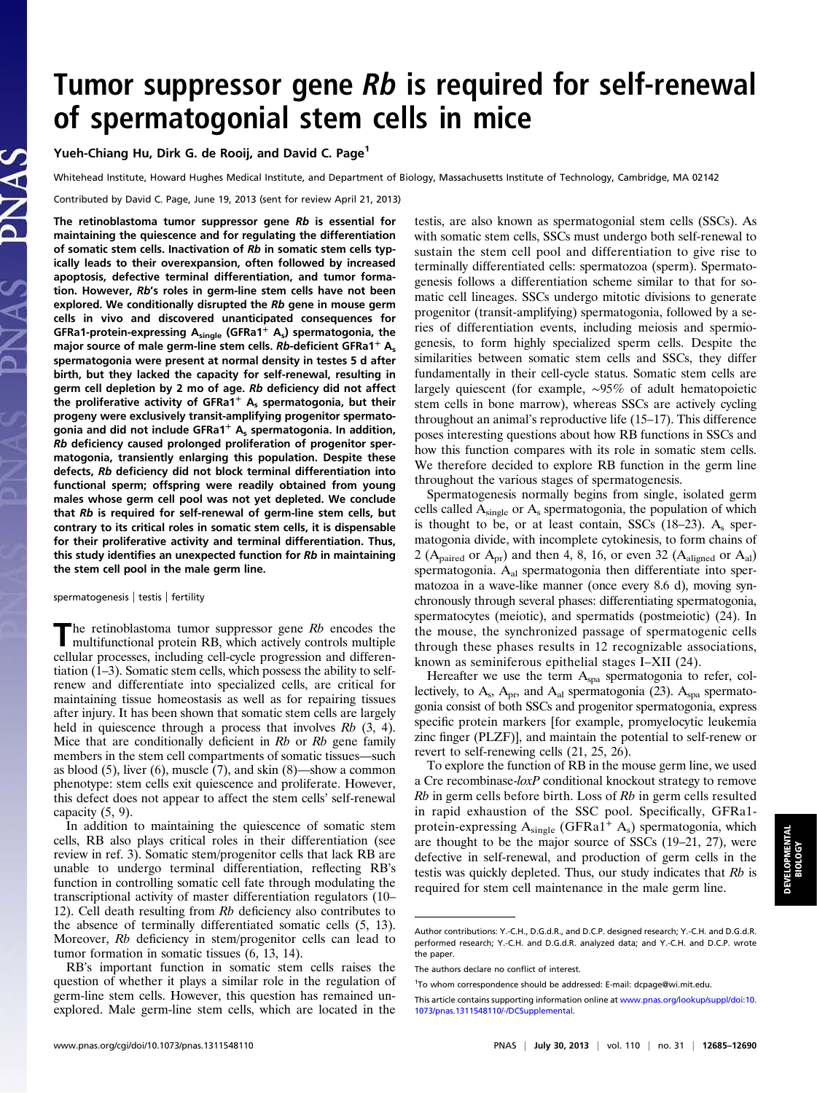## Tumor suppressor gene Rb is required for self-renewal of spermatogonial stem cells in mice

Yueh-Chiang Hu, Dirk G. de Rooij, and David C. Page<sup>1</sup>

Whitehead Institute, Howard Hughes Medical Institute, and Department of Biology, Massachusetts Institute of Technology, Cambridge, MA 02142

Contributed by David C. Page, June 19, 2013 (sent for review April 21, 2013)

The retinoblastoma tumor suppressor gene  $Rb$  is essential for maintaining the quiescence and for regulating the differentiation of somatic stem cells. Inactivation of Rb in somatic stem cells typically leads to their overexpansion, often followed by increased apoptosis, defective terminal differentiation, and tumor formation. However, Rb's roles in germ-line stem cells have not been explored. We conditionally disrupted the Rb gene in mouse germ cells in vivo and discovered unanticipated consequences for GFRa1-protein-expressing  $A_{single}$  (GFRa1<sup>+</sup>  $A_s$ ) spermatogonia, the major source of male germ-line stem cells.  $Rb$ -deficient GFRa1<sup>+</sup> A<sub>s</sub> spermatogonia were present at normal density in testes 5 d after birth, but they lacked the capacity for self-renewal, resulting in germ cell depletion by 2 mo of age. Rb deficiency did not affect the proliferative activity of GFRa1<sup>+</sup>  $A_s$  spermatogonia, but their progeny were exclusively transit-amplifying progenitor spermatogonia and did not include  $GFRa1<sup>+</sup>$  A<sub>s</sub> spermatogonia. In addition, Rb deficiency caused prolonged proliferation of progenitor spermatogonia, transiently enlarging this population. Despite these defects, Rb deficiency did not block terminal differentiation into functional sperm; offspring were readily obtained from young males whose germ cell pool was not yet depleted. We conclude that Rb is required for self-renewal of germ-line stem cells, but contrary to its critical roles in somatic stem cells, it is dispensable for their proliferative activity and terminal differentiation. Thus, this study identifies an unexpected function for Rb in maintaining the stem cell pool in the male germ line.

spermatogenesis | testis | fertility

The retinoblastoma tumor suppressor gene Rb encodes the multifunctional protein RB, which actively controls multiple cellular processes, including cell-cycle progression and differentiation  $(1-3)$ . Somatic stem cells, which possess the ability to selfrenew and differentiate into specialized cells, are critical for maintaining tissue homeostasis as well as for repairing tissues after injury. It has been shown that somatic stem cells are largely held in quiescence through a process that involves  $Rb$  (3, 4). Mice that are conditionally deficient in  $Rb$  or  $Rb$  gene family members in the stem cell compartments of somatic tissues—such as blood  $(5)$ , liver  $(6)$ , muscle  $(7)$ , and skin  $(8)$ —show a common phenotype: stem cells exit quiescence and proliferate. However, this defect does not appear to affect the stem cells' self-renewal capacity (5, 9).

In addition to maintaining the quiescence of somatic stem cells, RB also plays critical roles in their differentiation (see review in ref. 3). Somatic stem/progenitor cells that lack RB are unable to undergo terminal differentiation, reflecting RB's function in controlling somatic cell fate through modulating the transcriptional activity of master differentiation regulators (10– 12). Cell death resulting from Rb deficiency also contributes to the absence of terminally differentiated somatic cells (5, 13). Moreover, Rb deficiency in stem/progenitor cells can lead to tumor formation in somatic tissues (6, 13, 14).

RB's important function in somatic stem cells raises the question of whether it plays a similar role in the regulation of germ-line stem cells. However, this question has remained unexplored. Male germ-line stem cells, which are located in the testis, are also known as spermatogonial stem cells (SSCs). As with somatic stem cells, SSCs must undergo both self-renewal to sustain the stem cell pool and differentiation to give rise to terminally differentiated cells: spermatozoa (sperm). Spermatogenesis follows a differentiation scheme similar to that for somatic cell lineages. SSCs undergo mitotic divisions to generate progenitor (transit-amplifying) spermatogonia, followed by a series of differentiation events, including meiosis and spermiogenesis, to form highly specialized sperm cells. Despite the similarities between somatic stem cells and SSCs, they differ fundamentally in their cell-cycle status. Somatic stem cells are largely quiescent (for example, ∼95% of adult hematopoietic stem cells in bone marrow), whereas SSCs are actively cycling throughout an animal's reproductive life (15–17). This difference poses interesting questions about how RB functions in SSCs and how this function compares with its role in somatic stem cells. We therefore decided to explore RB function in the germ line throughout the various stages of spermatogenesis.

Spermatogenesis normally begins from single, isolated germ cells called  $A_{single}$  or  $A_{s}$  spermatogonia, the population of which is thought to be, or at least contain, SSCs  $(18-23)$ . A<sub>s</sub> spermatogonia divide, with incomplete cytokinesis, to form chains of 2 ( $A_{\text{paired}}$  or  $A_{\text{pr}}$ ) and then 4, 8, 16, or even 32 ( $A_{\text{aligned}}$  or  $A_{\text{al}}$ ) spermatogonia. Aal spermatogonia then differentiate into spermatozoa in a wave-like manner (once every 8.6 d), moving synchronously through several phases: differentiating spermatogonia, spermatocytes (meiotic), and spermatids (postmeiotic) (24). In the mouse, the synchronized passage of spermatogenic cells through these phases results in 12 recognizable associations, known as seminiferous epithelial stages I–XII (24).

Hereafter we use the term  $A<sub>spa</sub>$  spermatogonia to refer, collectively, to  $A_s$ ,  $A_{pr}$ , and  $A_{al}$  spermatogonia (23).  $A_{spa}$  spermatogonia consist of both SSCs and progenitor spermatogonia, express specific protein markers [for example, promyelocytic leukemia zinc finger (PLZF)], and maintain the potential to self-renew or revert to self-renewing cells (21, 25, 26).

To explore the function of RB in the mouse germ line, we used a Cre recombinase-loxP conditional knockout strategy to remove Rb in germ cells before birth. Loss of Rb in germ cells resulted in rapid exhaustion of the SSC pool. Specifically, GFRa1 protein-expressing  $A_{single}$  (GFRa1<sup>+</sup>  $A_s$ ) spermatogonia, which are thought to be the major source of SSCs (19–21, 27), were defective in self-renewal, and production of germ cells in the testis was quickly depleted. Thus, our study indicates that Rb is required for stem cell maintenance in the male germ line.

Author contributions: Y.-C.H., D.G.d.R., and D.C.P. designed research; Y.-C.H. and D.G.d.R. performed research; Y.-C.H. and D.G.d.R. analyzed data; and Y.-C.H. and D.C.P. wrote the paper.

The authors declare no conflict of interest.

<sup>&</sup>lt;sup>1</sup>To whom correspondence should be addressed: E-mail: [dcpage@wi.mit.edu](mailto:dcpage@wi.mit.edu).

This article contains supporting information online at [www.pnas.org/lookup/suppl/doi:10.](http://www.pnas.org/lookup/suppl/doi:10.1073/pnas.1311548110/-/DCSupplemental) [1073/pnas.1311548110/-/DCSupplemental](http://www.pnas.org/lookup/suppl/doi:10.1073/pnas.1311548110/-/DCSupplemental).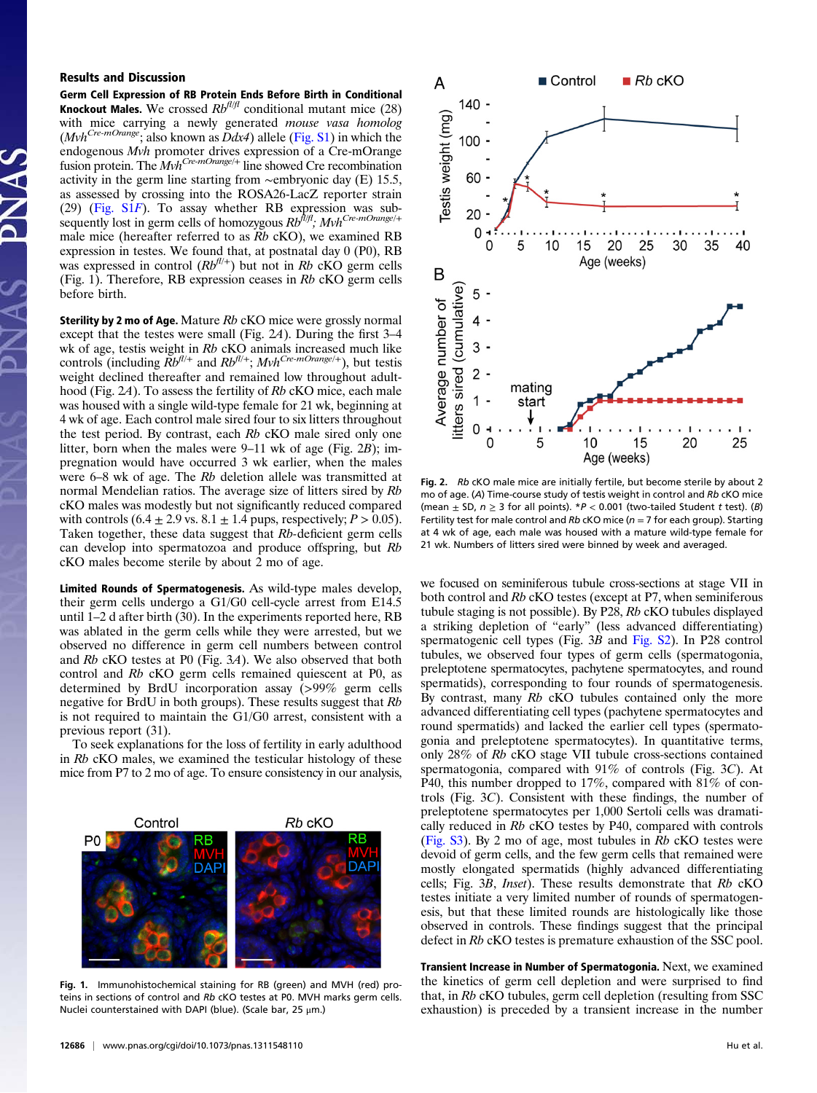## Results and Discussion

Germ Cell Expression of RB Protein Ends Before Birth in Conditional **Knockout Males.** We crossed  $Rb^{fl/f}$  conditional mutant mice (28) with mice carrying a newly generated mouse vasa homolog  $(Mvh^{Cre-mOrange}$ ; also known as  $\overline{D}dx4$ ) allele [\(Fig. S1](http://www.pnas.org/lookup/suppl/doi:10.1073/pnas.1311548110/-/DCSupplemental/pnas.201311548SI.pdf?targetid=nameddest=SF1)) in which the endogenous Mvh promoter drives expression of a Cre-mOrange fusion protein. The  $Mvh^{Cre-mOrange/+}$  line showed Cre recombination activity in the germ line starting from ∼embryonic day (E) 15.5, as assessed by crossing into the ROSA26-LacZ reporter strain (29) [\(Fig. S1](http://www.pnas.org/lookup/suppl/doi:10.1073/pnas.1311548110/-/DCSupplemental/pnas.201311548SI.pdf?targetid=nameddest=SF1)F). To assay whether RB expression was subsequently lost in germ cells of homozygous  $Rb^{h/f}$ ;  $Mvh^{Cre-mOrange/+}$ male mice (hereafter referred to as Rb cKO), we examined RB expression in testes. We found that, at postnatal day 0 (P0), RB was expressed in control  $(Rb^{fl/+})$  but not in Rb cKO germ cells (Fig. 1). Therefore, RB expression ceases in Rb cKO germ cells before birth.

Sterility by 2 mo of Age. Mature  $Rb$  cKO mice were grossly normal except that the testes were small (Fig. 2A). During the first 3–4 wk of age, testis weight in Rb cKO animals increased much like controls (including  $Rb^{fl/+}$  and  $Rb^{fl/+}$ ;  $Mvh^{Cre \text{-}mOrange/+}$ ), but testis weight declined thereafter and remained low throughout adulthood (Fig. 2A). To assess the fertility of Rb cKO mice, each male was housed with a single wild-type female for 21 wk, beginning at 4 wk of age. Each control male sired four to six litters throughout the test period. By contrast, each Rb cKO male sired only one litter, born when the males were 9–11 wk of age (Fig. 2B); impregnation would have occurred 3 wk earlier, when the males were 6–8 wk of age. The Rb deletion allele was transmitted at normal Mendelian ratios. The average size of litters sired by Rb cKO males was modestly but not significantly reduced compared with controls  $(6.4 \pm 2.9 \text{ vs. } 8.1 \pm 1.4 \text{ cups}, \text{respectively}; P > 0.05)$ . Taken together, these data suggest that Rb-deficient germ cells can develop into spermatozoa and produce offspring, but Rb cKO males become sterile by about 2 mo of age.

Limited Rounds of Spermatogenesis. As wild-type males develop, their germ cells undergo a G1/G0 cell-cycle arrest from E14.5 until 1–2 d after birth (30). In the experiments reported here, RB was ablated in the germ cells while they were arrested, but we observed no difference in germ cell numbers between control and Rb cKO testes at P0 (Fig. 3A). We also observed that both control and Rb cKO germ cells remained quiescent at P0, as determined by BrdU incorporation assay (>99% germ cells negative for BrdU in both groups). These results suggest that Rb is not required to maintain the G1/G0 arrest, consistent with a previous report (31).

To seek explanations for the loss of fertility in early adulthood in Rb cKO males, we examined the testicular histology of these mice from P7 to 2 mo of age. To ensure consistency in our analysis,



Fig. 1. Immunohistochemical staining for RB (green) and MVH (red) proteins in sections of control and Rb cKO testes at P0. MVH marks germ cells. Nuclei counterstained with DAPI (blue). (Scale bar, 25 μm.)



Fig. 2. Rb cKO male mice are initially fertile, but become sterile by about 2 mo of age. (A) Time-course study of testis weight in control and Rb cKO mice (mean  $\pm$  SD,  $n \ge 3$  for all points). \*P < 0.001 (two-tailed Student t test). (B) Fertility test for male control and Rb cKO mice ( $n = 7$  for each group). Starting at 4 wk of age, each male was housed with a mature wild-type female for 21 wk. Numbers of litters sired were binned by week and averaged.

we focused on seminiferous tubule cross-sections at stage VII in both control and Rb cKO testes (except at P7, when seminiferous tubule staging is not possible). By P28, Rb cKO tubules displayed a striking depletion of "early" (less advanced differentiating) spermatogenic cell types (Fig. 3B and [Fig. S2](http://www.pnas.org/lookup/suppl/doi:10.1073/pnas.1311548110/-/DCSupplemental/pnas.201311548SI.pdf?targetid=nameddest=SF2)). In P28 control tubules, we observed four types of germ cells (spermatogonia, preleptotene spermatocytes, pachytene spermatocytes, and round spermatids), corresponding to four rounds of spermatogenesis. By contrast, many Rb cKO tubules contained only the more advanced differentiating cell types (pachytene spermatocytes and round spermatids) and lacked the earlier cell types (spermatogonia and preleptotene spermatocytes). In quantitative terms, only 28% of Rb cKO stage VII tubule cross-sections contained spermatogonia, compared with 91% of controls (Fig. 3C). At P40, this number dropped to 17%, compared with 81% of controls (Fig. 3C). Consistent with these findings, the number of preleptotene spermatocytes per 1,000 Sertoli cells was dramatically reduced in Rb cKO testes by P40, compared with controls ([Fig. S3\)](http://www.pnas.org/lookup/suppl/doi:10.1073/pnas.1311548110/-/DCSupplemental/pnas.201311548SI.pdf?targetid=nameddest=SF3). By 2 mo of age, most tubules in Rb cKO testes were devoid of germ cells, and the few germ cells that remained were mostly elongated spermatids (highly advanced differentiating cells; Fig. 3B, Inset). These results demonstrate that Rb cKO testes initiate a very limited number of rounds of spermatogenesis, but that these limited rounds are histologically like those observed in controls. These findings suggest that the principal defect in Rb cKO testes is premature exhaustion of the SSC pool.

Transient Increase in Number of Spermatogonia. Next, we examined the kinetics of germ cell depletion and were surprised to find that, in Rb cKO tubules, germ cell depletion (resulting from SSC exhaustion) is preceded by a transient increase in the number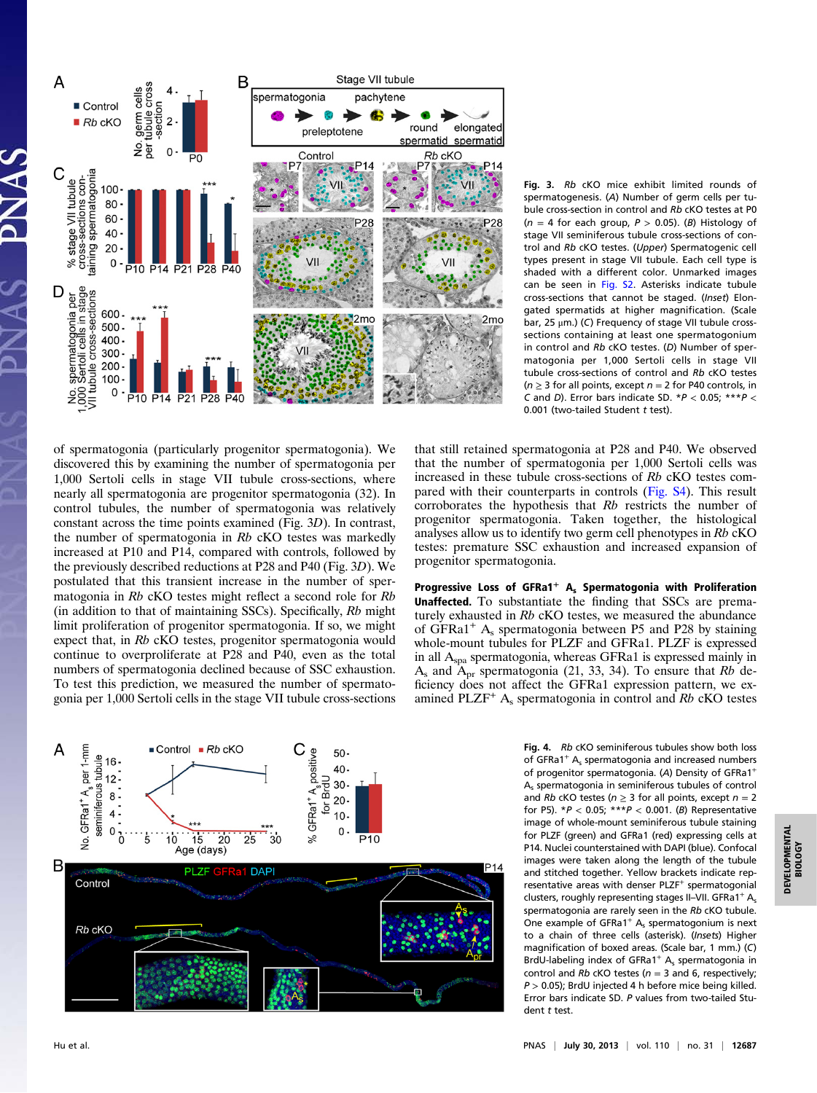

Fig. 3. Rb cKO mice exhibit limited rounds of spermatogenesis. (A) Number of germ cells per tubule cross-section in control and Rb cKO testes at P0  $(n = 4$  for each group,  $P > 0.05$ ). (B) Histology of stage VII seminiferous tubule cross-sections of control and Rb cKO testes. (Upper) Spermatogenic cell types present in stage VII tubule. Each cell type is shaded with a different color. Unmarked images can be seen in [Fig. S2.](http://www.pnas.org/lookup/suppl/doi:10.1073/pnas.1311548110/-/DCSupplemental/pnas.201311548SI.pdf?targetid=nameddest=SF2) Asterisks indicate tubule cross-sections that cannot be staged. (Inset) Elongated spermatids at higher magnification. (Scale bar, 25 μm.) (C) Frequency of stage VII tubule crosssections containing at least one spermatogonium in control and Rb cKO testes. (D) Number of spermatogonia per 1,000 Sertoli cells in stage VII tubule cross-sections of control and Rb cKO testes ( $n \geq 3$  for all points, except  $n = 2$  for P40 controls, in C and D). Error bars indicate SD. \* $P < 0.05$ ; \*\*\* $P <$ 0.001 (two-tailed Student t test).

of spermatogonia (particularly progenitor spermatogonia). We discovered this by examining the number of spermatogonia per 1,000 Sertoli cells in stage VII tubule cross-sections, where nearly all spermatogonia are progenitor spermatogonia (32). In control tubules, the number of spermatogonia was relatively constant across the time points examined (Fig. 3D). In contrast, the number of spermatogonia in Rb cKO testes was markedly increased at P10 and P14, compared with controls, followed by the previously described reductions at P28 and P40 (Fig. 3D). We postulated that this transient increase in the number of spermatogonia in Rb cKO testes might reflect a second role for Rb (in addition to that of maintaining SSCs). Specifically, Rb might limit proliferation of progenitor spermatogonia. If so, we might expect that, in Rb cKO testes, progenitor spermatogonia would continue to overproliferate at P28 and P40, even as the total numbers of spermatogonia declined because of SSC exhaustion. To test this prediction, we measured the number of spermatogonia per 1,000 Sertoli cells in the stage VII tubule cross-sections

that still retained spermatogonia at P28 and P40. We observed that the number of spermatogonia per 1,000 Sertoli cells was increased in these tubule cross-sections of Rb cKO testes compared with their counterparts in controls ([Fig. S4](http://www.pnas.org/lookup/suppl/doi:10.1073/pnas.1311548110/-/DCSupplemental/pnas.201311548SI.pdf?targetid=nameddest=SF4)). This result corroborates the hypothesis that Rb restricts the number of progenitor spermatogonia. Taken together, the histological analyses allow us to identify two germ cell phenotypes in Rb cKO testes: premature SSC exhaustion and increased expansion of progenitor spermatogonia.

Progressive Loss of GFRa1<sup>+</sup> A<sub>s</sub> Spermatogonia with Proliferation Unaffected. To substantiate the finding that SSCs are prematurely exhausted in Rb cKO testes, we measured the abundance of GFRa1<sup>+</sup>  $A_s$  spermatogonia between P5 and P28 by staining whole-mount tubules for PLZF and GFRa1. PLZF is expressed in all Aspa spermatogonia, whereas GFRa1 is expressed mainly in  $A_s$  and  $A_{pr}$  spermatogonia (21, 33, 34). To ensure that Rb deficiency does not affect the GFRa1 expression pattern, we examined PLZF<sup>+</sup>  $A_s$  spermatogonia in control and Rb cKO testes



Fig. 4. Rb cKO seminiferous tubules show both loss of GFRa1<sup>+</sup>  $A_s$  spermatogonia and increased numbers of progenitor spermatogonia. (A) Density of GFRa1<sup>+</sup> As spermatogonia in seminiferous tubules of control and Rb cKO testes ( $n \geq 3$  for all points, except  $n = 2$ for P5).  $*P < 0.05$ ;  $***P < 0.001$ . (B) Representative image of whole-mount seminiferous tubule staining for PLZF (green) and GFRa1 (red) expressing cells at P14. Nuclei counterstained with DAPI (blue). Confocal images were taken along the length of the tubule and stitched together. Yellow brackets indicate representative areas with denser PLZF<sup>+</sup> spermatogonial clusters, roughly representing stages II-VII. GFRa1<sup>+</sup> A<sub>s</sub> spermatogonia are rarely seen in the Rb cKO tubule. One example of  $GFRa1^+$  A<sub>s</sub> spermatogonium is next to a chain of three cells (asterisk). (Insets) Higher magnification of boxed areas. (Scale bar, 1 mm.) (C) BrdU-labeling index of GFRa1<sup>+</sup>  $A_s$  spermatogonia in control and Rb cKO testes ( $n = 3$  and 6, respectively;  $P > 0.05$ ); BrdU injected 4 h before mice being killed. Error bars indicate SD. P values from two-tailed Student t test.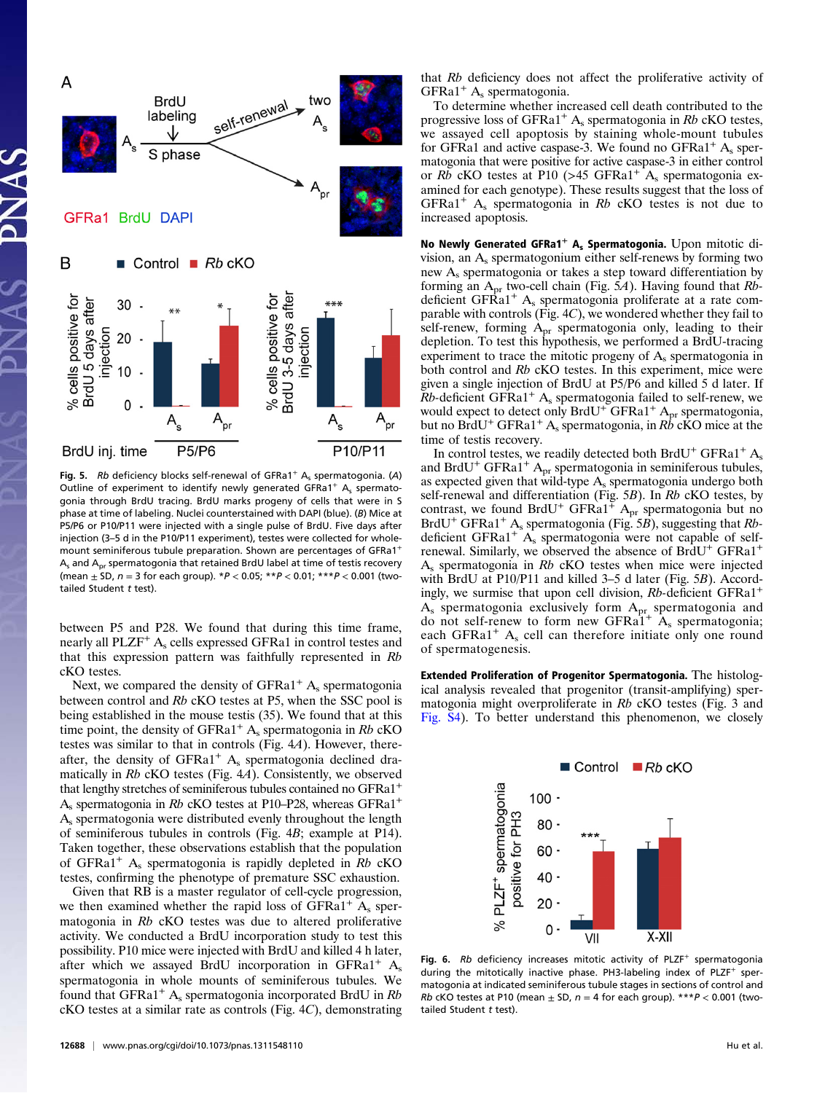

Fig. 5. Rb deficiency blocks self-renewal of GFRa1<sup>+</sup> A<sub>s</sub> spermatogonia. (A) Outline of experiment to identify newly generated GFRa1<sup>+</sup> A<sub>s</sub> spermatogonia through BrdU tracing. BrdU marks progeny of cells that were in S phase at time of labeling. Nuclei counterstained with DAPI (blue). (B) Mice at P5/P6 or P10/P11 were injected with a single pulse of BrdU. Five days after injection (3–5 d in the P10/P11 experiment), testes were collected for wholemount seminiferous tubule preparation. Shown are percentages of GFRa1<sup>+</sup>  $A<sub>s</sub>$  and  $A<sub>pr</sub>$  spermatogonia that retained BrdU label at time of testis recovery (mean  $\pm$  SD,  $n = 3$  for each group).  $*P < 0.05$ ;  $**P < 0.01$ ;  $***P < 0.001$  (twotailed Student  $t$  test).

between P5 and P28. We found that during this time frame, nearly all PLZF<sup>+</sup> A<sub>s</sub> cells expressed GFRa1 in control testes and that this expression pattern was faithfully represented in Rb cKO testes.

Next, we compared the density of  $GFRa1<sup>+</sup> A<sub>s</sub>$  spermatogonia between control and Rb cKO testes at P5, when the SSC pool is being established in the mouse testis (35). We found that at this time point, the density of  $GFRa1^+$  A<sub>s</sub> spermatogonia in Rb cKO testes was similar to that in controls (Fig. 4A). However, thereafter, the density of  $GFRa1<sup>+</sup> A<sub>s</sub>$  spermatogonia declined dramatically in Rb cKO testes (Fig. 4A). Consistently, we observed that lengthy stretches of seminiferous tubules contained no GFRa1<sup>+</sup>  $A<sub>s</sub>$  spermatogonia in Rb cKO testes at P10–P28, whereas GFRa1<sup>+</sup> As spermatogonia were distributed evenly throughout the length of seminiferous tubules in controls (Fig. 4B; example at P14). Taken together, these observations establish that the population of GFRa1<sup>+</sup> A<sub>s</sub> spermatogonia is rapidly depleted in Rb cKO testes, confirming the phenotype of premature SSC exhaustion.

Given that RB is a master regulator of cell-cycle progression, we then examined whether the rapid loss of  $GFRa1<sup>+</sup> A<sub>s</sub>$  spermatogonia in Rb cKO testes was due to altered proliferative activity. We conducted a BrdU incorporation study to test this possibility. P10 mice were injected with BrdU and killed 4 h later, after which we assayed BrdU incorporation in  $GFRa1^+$  A<sub>s</sub> spermatogonia in whole mounts of seminiferous tubules. We found that GFRa1<sup>+</sup> A<sub>s</sub> spermatogonia incorporated BrdU in  $Rb$ cKO testes at a similar rate as controls (Fig. 4C), demonstrating that Rb deficiency does not affect the proliferative activity of  $GFRa1<sup>+</sup> A<sub>s</sub>$  spermatogonia.

To determine whether increased cell death contributed to the progressive loss of GFRa1<sup>+</sup> A<sub>s</sub> spermatogonia in Rb cKO testes, we assayed cell apoptosis by staining whole-mount tubules for GFRa1 and active caspase-3. We found no GFRa1<sup>+</sup>  $A_s$  spermatogonia that were positive for active caspase-3 in either control or Rb cKO testes at P10 (>45 GFRa1<sup>+</sup> A<sub>s</sub> spermatogonia examined for each genotype). These results suggest that the loss of GFRa1<sup>+</sup> A<sub>s</sub> spermatogonia in Rb cKO testes is not due to increased apoptosis.

No Newly Generated GFRa1<sup>+</sup> A<sub>s</sub> Spermatogonia. Upon mitotic division, an  $A_s$  spermatogonium either self-renews by forming two new As spermatogonia or takes a step toward differentiation by forming an  $A_{pr}$  two-cell chain (Fig. 5A). Having found that  $Rb$ deficient GFRa1<sup>+</sup> A<sub>s</sub> spermatogonia proliferate at a rate comparable with controls (Fig. 4C), we wondered whether they fail to self-renew, forming Apr spermatogonia only, leading to their depletion. To test this hypothesis, we performed a BrdU-tracing experiment to trace the mitotic progeny of  $A_s$  spermatogonia in both control and Rb cKO testes. In this experiment, mice were given a single injection of BrdU at P5/P6 and killed 5 d later. If  $Rb$ -deficient GFRa1<sup>+</sup> A<sub>s</sub> spermatogonia failed to self-renew, we would expect to detect only  $BrdU^{+}GFRa1^{+}$  A<sub>pr</sub> spermatogonia, but no BrdU<sup>+</sup> GFRa1<sup>+</sup> A<sub>s</sub> spermatogonia, in Rb cKO mice at the time of testis recovery.

In control testes, we readily detected both BrdU<sup>+</sup> GFRa1<sup>+</sup> A<sub>s</sub> and BrdU<sup>+</sup> GFRa1<sup>+</sup> A<sub>pr</sub> spermatogonia in seminiferous tubules, as expected given that wild-type As spermatogonia undergo both self-renewal and differentiation (Fig. 5B). In Rb cKO testes, by contrast, we found BrdU<sup>+</sup> GFRa1<sup>+</sup>  $A_{pr}$  spermatogonia but no BrdU<sup>+</sup> GFRa1<sup>+</sup> A<sub>s</sub> spermatogonia (Fig. 5B), suggesting that Rbdeficient GFRa1<sup>+</sup>  $A_s$  spermatogonia were not capable of selfrenewal. Similarly, we observed the absence of BrdU<sup>+</sup> GFRa1<sup>+</sup> As spermatogonia in Rb cKO testes when mice were injected with BrdU at P10/P11 and killed 3–5 d later (Fig. 5B). Accordingly, we surmise that upon cell division, Rb-deficient GFRa1<sup>+</sup>  $A_s$  spermatogonia exclusively form  $A_{pr}$  spermatogonia and do not self-renew to form new GFRa1<sup>+</sup>  $A_s$  spermatogonia; each GFRa1<sup>+</sup>  $A_s$  cell can therefore initiate only one round of spermatogenesis.

Extended Proliferation of Progenitor Spermatogonia. The histological analysis revealed that progenitor (transit-amplifying) spermatogonia might overproliferate in Rb cKO testes (Fig. 3 and [Fig. S4\)](http://www.pnas.org/lookup/suppl/doi:10.1073/pnas.1311548110/-/DCSupplemental/pnas.201311548SI.pdf?targetid=nameddest=SF4). To better understand this phenomenon, we closely



Fig. 6.  $Rb$  deficiency increases mitotic activity of PLZF<sup>+</sup> spermatogonia during the mitotically inactive phase. PH3-labeling index of PLZF<sup>+</sup> spermatogonia at indicated seminiferous tubule stages in sections of control and Rb cKO testes at P10 (mean  $\pm$  SD,  $n = 4$  for each group). \*\*\* $P < 0.001$  (twotailed Student  $t$  test).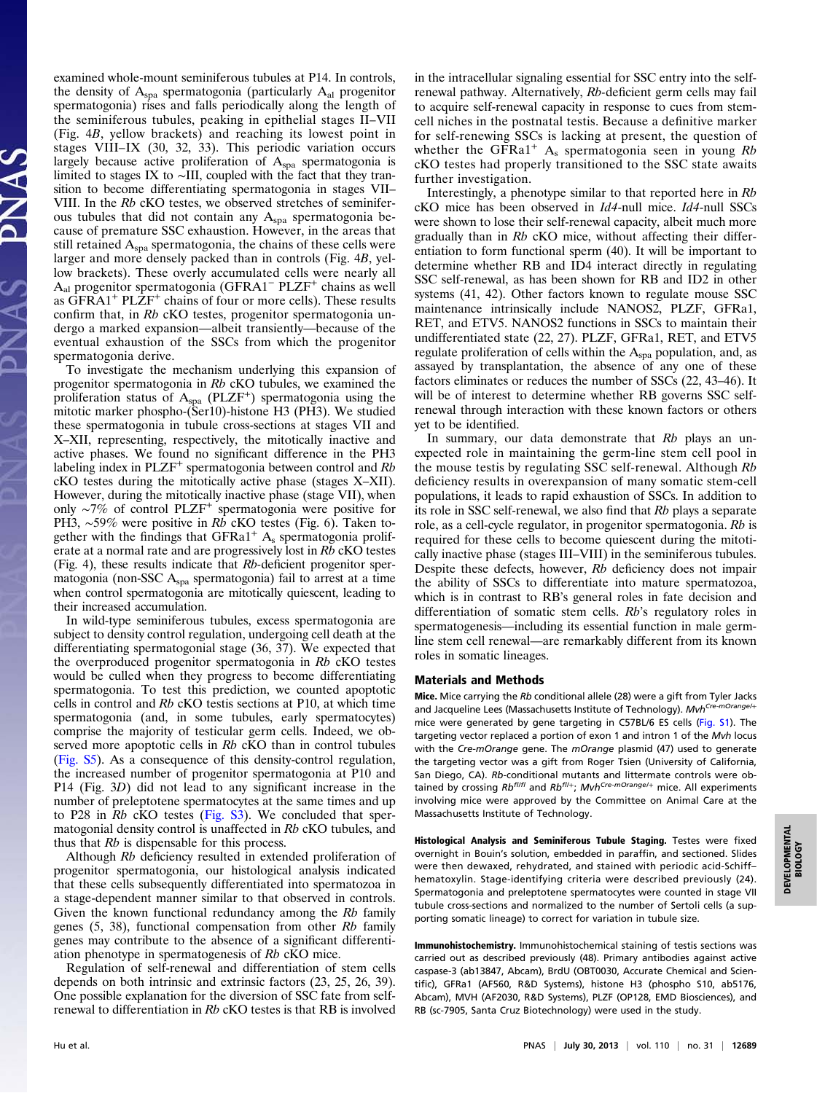examined whole-mount seminiferous tubules at P14. In controls, the density of  $A_{spa}$  spermatogonia (particularly  $A_{al}$  progenitor spermatogonia) rises and falls periodically along the length of the seminiferous tubules, peaking in epithelial stages II–VII (Fig. 4B, yellow brackets) and reaching its lowest point in stages VIII–IX (30, 32, 33). This periodic variation occurs largely because active proliferation of  $A_{spa}$  spermatogonia is limited to stages IX to ∼III, coupled with the fact that they transition to become differentiating spermatogonia in stages VII– VIII. In the Rb cKO testes, we observed stretches of seminiferous tubules that did not contain any  $A_{spa}$  spermatogonia because of premature SSC exhaustion. However, in the areas that still retained  $A_{spa}$  spermatogonia, the chains of these cells were larger and more densely packed than in controls (Fig. 4B, yellow brackets). These overly accumulated cells were nearly all A<sub>al</sub> progenitor spermatogonia (GFRA1<sup>−</sup> PLZF<sup>+</sup> chains as well as  $\widehat{G}FRA1^+$  PL $\widehat{Z}F^+$  chains of four or more cells). These results confirm that, in Rb cKO testes, progenitor spermatogonia undergo a marked expansion—albeit transiently—because of the eventual exhaustion of the SSCs from which the progenitor spermatogonia derive.

To investigate the mechanism underlying this expansion of progenitor spermatogonia in Rb cKO tubules, we examined the proliferation status of  $A_{spa}$  (PLZF<sup>+</sup>) spermatogonia using the mitotic marker phospho-(Ser10)-histone H3 (PH3). We studied these spermatogonia in tubule cross-sections at stages VII and X–XII, representing, respectively, the mitotically inactive and active phases. We found no significant difference in the PH3 labeling index in  $PLZF^+$  spermatogonia between control and  $Rb$ cKO testes during the mitotically active phase (stages X–XII). However, during the mitotically inactive phase (stage VII), when only ∼7% of control PLZF<sup>+</sup> spermatogonia were positive for PH3, ~59% were positive in Rb cKO testes (Fig. 6). Taken together with the findings that  $GFRa1<sup>+</sup> A<sub>s</sub>$  spermatogonia proliferate at a normal rate and are progressively lost in Rb cKO testes (Fig. 4), these results indicate that Rb-deficient progenitor spermatogonia (non-SSC  $A_{spa}$  spermatogonia) fail to arrest at a time when control spermatogonia are mitotically quiescent, leading to their increased accumulation.

In wild-type seminiferous tubules, excess spermatogonia are subject to density control regulation, undergoing cell death at the differentiating spermatogonial stage (36, 37). We expected that the overproduced progenitor spermatogonia in Rb cKO testes would be culled when they progress to become differentiating spermatogonia. To test this prediction, we counted apoptotic cells in control and Rb cKO testis sections at P10, at which time spermatogonia (and, in some tubules, early spermatocytes) comprise the majority of testicular germ cells. Indeed, we observed more apoptotic cells in Rb cKO than in control tubules ([Fig. S5](http://www.pnas.org/lookup/suppl/doi:10.1073/pnas.1311548110/-/DCSupplemental/pnas.201311548SI.pdf?targetid=nameddest=SF5)). As a consequence of this density-control regulation, the increased number of progenitor spermatogonia at P10 and P14 (Fig. 3D) did not lead to any significant increase in the number of preleptotene spermatocytes at the same times and up to P28 in Rb cKO testes [\(Fig. S3\)](http://www.pnas.org/lookup/suppl/doi:10.1073/pnas.1311548110/-/DCSupplemental/pnas.201311548SI.pdf?targetid=nameddest=SF3). We concluded that spermatogonial density control is unaffected in Rb cKO tubules, and thus that Rb is dispensable for this process.

Although Rb deficiency resulted in extended proliferation of progenitor spermatogonia, our histological analysis indicated that these cells subsequently differentiated into spermatozoa in a stage-dependent manner similar to that observed in controls. Given the known functional redundancy among the Rb family genes  $(5, 38)$ , functional compensation from other  $Rb$  family genes may contribute to the absence of a significant differentiation phenotype in spermatogenesis of Rb cKO mice.

Regulation of self-renewal and differentiation of stem cells depends on both intrinsic and extrinsic factors (23, 25, 26, 39). One possible explanation for the diversion of SSC fate from selfrenewal to differentiation in Rb cKO testes is that RB is involved in the intracellular signaling essential for SSC entry into the selfrenewal pathway. Alternatively, Rb-deficient germ cells may fail to acquire self-renewal capacity in response to cues from stemcell niches in the postnatal testis. Because a definitive marker for self-renewing SSCs is lacking at present, the question of whether the GFRa1<sup>+</sup> A<sub>s</sub> spermatogonia seen in young  $Rb$ cKO testes had properly transitioned to the SSC state awaits further investigation.

Interestingly, a phenotype similar to that reported here in Rb cKO mice has been observed in Id4-null mice. Id4-null SSCs were shown to lose their self-renewal capacity, albeit much more gradually than in Rb cKO mice, without affecting their differentiation to form functional sperm (40). It will be important to determine whether RB and ID4 interact directly in regulating SSC self-renewal, as has been shown for RB and ID2 in other systems (41, 42). Other factors known to regulate mouse SSC maintenance intrinsically include NANOS2, PLZF, GFRa1, RET, and ETV5. NANOS2 functions in SSCs to maintain their undifferentiated state (22, 27). PLZF, GFRa1, RET, and ETV5 regulate proliferation of cells within the  $A_{spa}$  population, and, as assayed by transplantation, the absence of any one of these factors eliminates or reduces the number of SSCs (22, 43–46). It will be of interest to determine whether RB governs SSC selfrenewal through interaction with these known factors or others yet to be identified.

In summary, our data demonstrate that  $Rb$  plays an unexpected role in maintaining the germ-line stem cell pool in the mouse testis by regulating SSC self-renewal. Although Rb deficiency results in overexpansion of many somatic stem-cell populations, it leads to rapid exhaustion of SSCs. In addition to its role in SSC self-renewal, we also find that Rb plays a separate role, as a cell-cycle regulator, in progenitor spermatogonia. Rb is required for these cells to become quiescent during the mitotically inactive phase (stages III–VIII) in the seminiferous tubules. Despite these defects, however, Rb deficiency does not impair the ability of SSCs to differentiate into mature spermatozoa, which is in contrast to RB's general roles in fate decision and differentiation of somatic stem cells. Rb's regulatory roles in spermatogenesis—including its essential function in male germline stem cell renewal—are remarkably different from its known roles in somatic lineages.

## Materials and Methods

Mice. Mice carrying the Rb conditional allele (28) were a gift from Tyler Jacks and Jacqueline Lees (Massachusetts Institute of Technology). Mvh<sup>Cre-mOrange/+</sup> mice were generated by gene targeting in C57BL/6 ES cells ([Fig. S1\)](http://www.pnas.org/lookup/suppl/doi:10.1073/pnas.1311548110/-/DCSupplemental/pnas.201311548SI.pdf?targetid=nameddest=SF1). The targeting vector replaced a portion of exon 1 and intron 1 of the Mvh locus with the Cre-mOrange gene. The mOrange plasmid (47) used to generate the targeting vector was a gift from Roger Tsien (University of California, San Diego, CA). Rb-conditional mutants and littermate controls were obtained by crossing  $Rb^{f l/f l}$  and  $Rb^{f l/+}$ ; Mvh<sup>Cre-mOrange/+</sup> mice. All experiments involving mice were approved by the Committee on Animal Care at the Massachusetts Institute of Technology.

Histological Analysis and Seminiferous Tubule Staging. Testes were fixed overnight in Bouin's solution, embedded in paraffin, and sectioned. Slides were then dewaxed, rehydrated, and stained with periodic acid-Schiff– hematoxylin. Stage-identifying criteria were described previously (24). Spermatogonia and preleptotene spermatocytes were counted in stage VII tubule cross-sections and normalized to the number of Sertoli cells (a supporting somatic lineage) to correct for variation in tubule size.

Immunohistochemistry. Immunohistochemical staining of testis sections was carried out as described previously (48). Primary antibodies against active caspase-3 (ab13847, Abcam), BrdU (OBT0030, Accurate Chemical and Scientific), GFRa1 (AF560, R&D Systems), histone H3 (phospho S10, ab5176, Abcam), MVH (AF2030, R&D Systems), PLZF (OP128, EMD Biosciences), and RB (sc-7905, Santa Cruz Biotechnology) were used in the study.